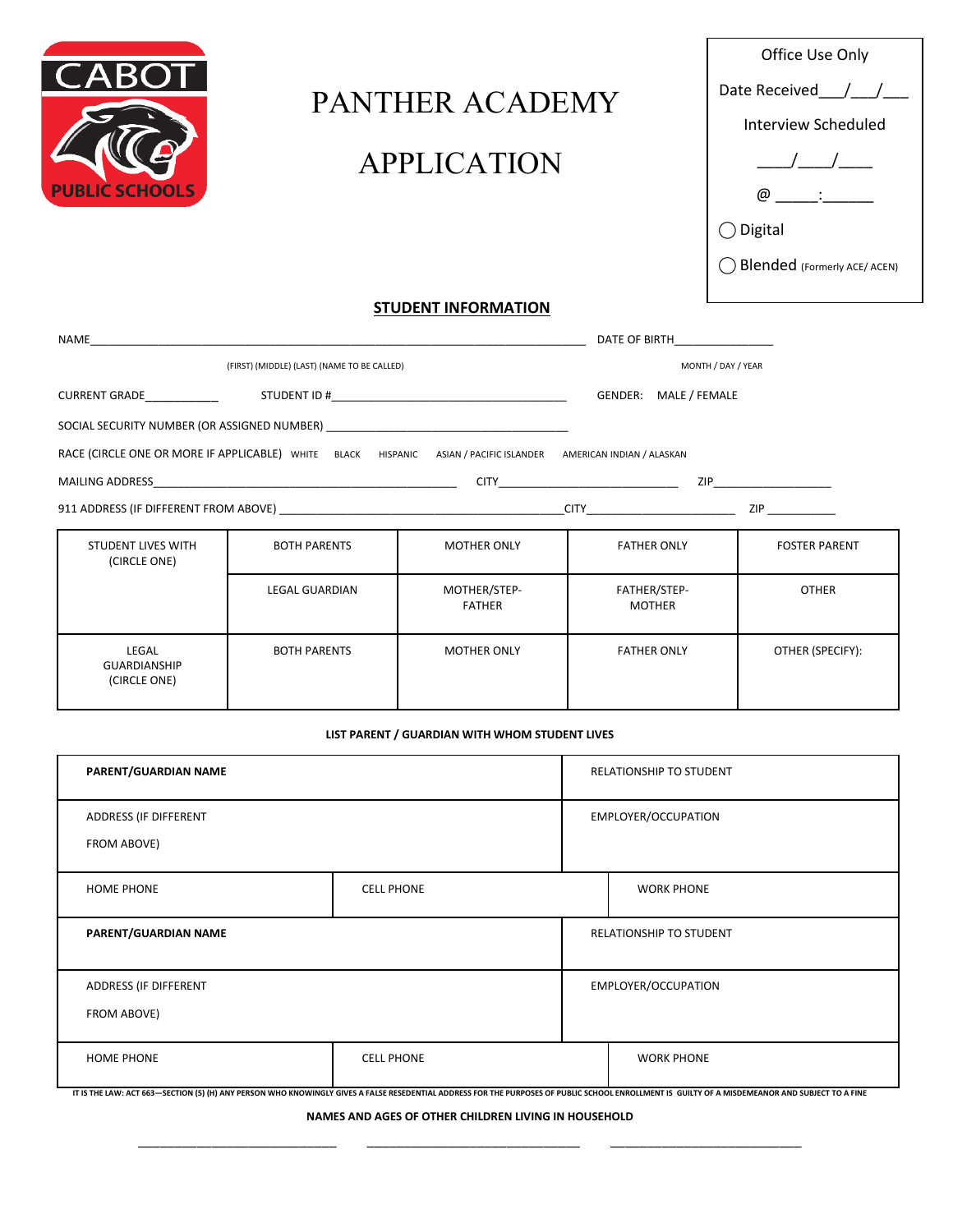

# PANTHER ACADEMY APPLICATION

| Office Use Only              |
|------------------------------|
| Date Received / /            |
| <b>Interview Scheduled</b>   |
|                              |
| (α                           |
| $\bigcirc$ Digital           |
| Blended (Formerly ACE/ ACEN) |

# **STUDENT INFORMATION**

| NAME                                                                                                            |                       |                               | DATE OF BIRTH                 |                           |
|-----------------------------------------------------------------------------------------------------------------|-----------------------|-------------------------------|-------------------------------|---------------------------|
| (FIRST) (MIDDLE) (LAST) (NAME TO BE CALLED)                                                                     |                       |                               | MONTH / DAY / YEAR            |                           |
| <b>CURRENT GRADE</b>                                                                                            |                       |                               | GENDER: MALE / FEMALE         |                           |
| SOCIAL SECURITY NUMBER (OR ASSIGNED NUMBER) AND THE RESERVE TO A RELATE A REPORT OF A RELATION OF STATE OF A R  |                       |                               |                               |                           |
| RACE (CIRCLE ONE OR MORE IF APPLICABLE) WHITE BLACK HISPANIC ASIAN / PACIFIC ISLANDER AMERICAN INDIAN / ALASKAN |                       |                               |                               |                           |
|                                                                                                                 |                       |                               |                               | ZIP _____________________ |
|                                                                                                                 |                       |                               | <b>CITY CITY CITY</b>         | ZIP                       |
| <b>STUDENT LIVES WITH</b><br>(CIRCLE ONE)                                                                       | <b>BOTH PARENTS</b>   | <b>MOTHER ONLY</b>            | <b>FATHER ONLY</b>            | <b>FOSTER PARENT</b>      |
|                                                                                                                 | <b>LEGAL GUARDIAN</b> | MOTHER/STEP-<br><b>FATHER</b> | FATHER/STEP-<br><b>MOTHER</b> | <b>OTHER</b>              |

| LEGAL<br>GUARDIANSHIP<br>(CIRCLE ONE) | <b>BOTH PARENTS</b> | <b>MOTHER ONLY</b> | <b>FATHER ONLY</b> | OTHER (SPECIFY): |
|---------------------------------------|---------------------|--------------------|--------------------|------------------|
|                                       |                     |                    |                    |                  |

#### **LIST PARENT / GUARDIAN WITH WHOM STUDENT LIVES**

| PARENT/GUARDIAN NAME                   |  | RELATIONSHIP TO STUDENT |                                                                                                                                                                                                                         |
|----------------------------------------|--|-------------------------|-------------------------------------------------------------------------------------------------------------------------------------------------------------------------------------------------------------------------|
| ADDRESS (IF DIFFERENT<br>FROM ABOVE)   |  | EMPLOYER/OCCUPATION     |                                                                                                                                                                                                                         |
| <b>CELL PHONE</b><br><b>HOME PHONE</b> |  |                         | <b>WORK PHONE</b>                                                                                                                                                                                                       |
| PARENT/GUARDIAN NAME                   |  | RELATIONSHIP TO STUDENT |                                                                                                                                                                                                                         |
| ADDRESS (IF DIFFERENT                  |  | EMPLOYER/OCCUPATION     |                                                                                                                                                                                                                         |
| FROM ABOVE)                            |  |                         |                                                                                                                                                                                                                         |
| <b>CELL PHONE</b><br><b>HOME PHONE</b> |  |                         | <b>WORK PHONE</b><br>IT IC THE LAWL ACT CC2 - CECTION (E) (H) ANY REDCON WHO VNOWINGLY CIVES A EALSE DESERVENTIAL ARRIBERS EOD THE DUBROSSE OF DUBLIC SCHOOL ENDOLLMENT IS CULTY OF A MISREARANOD AND SUBJECT TO A FINE |

IT IS THE LAW: ACT 663-SECTION (5) (H) ANY PERSON WHO KNOWINGLY GIVES A FALSE RESEDENTIAL ADDRESS FOR THE PURPOSES OF PUBLIC SCHOOL ENROLLMENT IS GUILTY OF A MISDEMEANOR AND SUBJECT TO A FINE

**NAMES AND AGES OF OTHER CHILDREN LIVING IN HOUSEHOLD** \_\_\_\_\_\_\_\_\_\_\_\_\_\_\_\_\_\_\_\_\_\_\_\_\_\_\_ \_\_\_\_\_\_\_\_\_\_\_\_\_\_\_\_\_\_\_\_\_\_\_\_\_\_\_\_\_ \_\_\_\_\_\_\_\_\_\_\_\_\_\_\_\_\_\_\_\_\_\_\_\_\_\_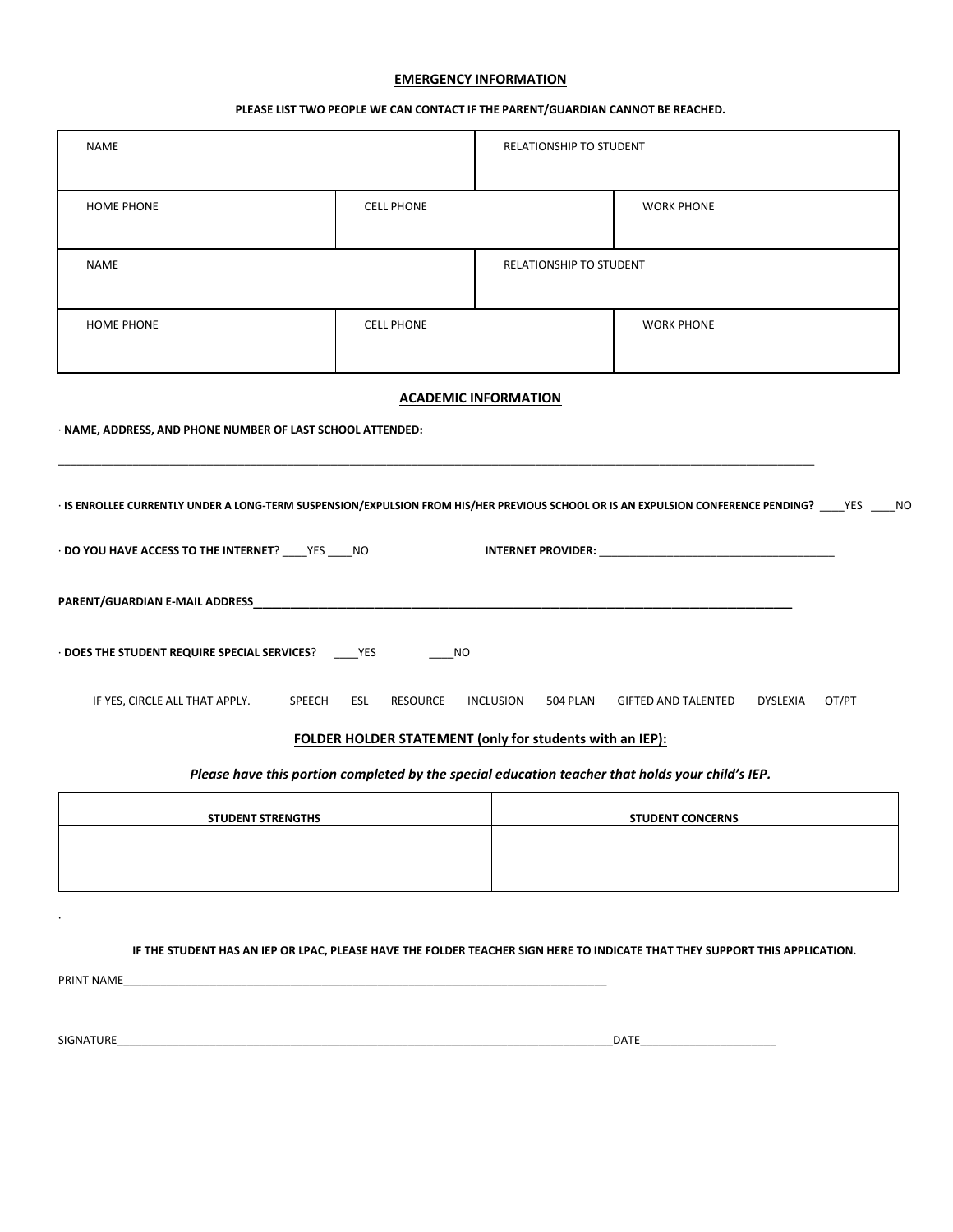## **EMERGENCY INFORMATION**

## **PLEASE LIST TWO PEOPLE WE CAN CONTACT IF THE PARENT/GUARDIAN CANNOT BE REACHED.**

| <b>NAME</b>                                                                                                                                                                |                   | RELATIONSHIP TO STUDENT |                                                                                                                             |
|----------------------------------------------------------------------------------------------------------------------------------------------------------------------------|-------------------|-------------------------|-----------------------------------------------------------------------------------------------------------------------------|
| <b>HOME PHONE</b>                                                                                                                                                          | <b>CELL PHONE</b> |                         | <b>WORK PHONE</b>                                                                                                           |
| <b>NAME</b>                                                                                                                                                                |                   | RELATIONSHIP TO STUDENT |                                                                                                                             |
| <b>HOME PHONE</b>                                                                                                                                                          | <b>CELL PHONE</b> |                         | <b>WORK PHONE</b>                                                                                                           |
| <b>ACADEMIC INFORMATION</b><br>· NAME, ADDRESS, AND PHONE NUMBER OF LAST SCHOOL ATTENDED:                                                                                  |                   |                         |                                                                                                                             |
| · IS ENROLLEE CURRENTLY UNDER A LONG-TERM SUSPENSION/EXPULSION FROM HIS/HER PREVIOUS SCHOOL OR IS AN EXPULSION CONFERENCE PENDING? ____YES _____NO                         |                   |                         |                                                                                                                             |
| DO YOU HAVE ACCESS TO THE INTERNET? ____ YES ____ NO                                                                                                                       |                   |                         |                                                                                                                             |
|                                                                                                                                                                            |                   |                         |                                                                                                                             |
| DOES THE STUDENT REQUIRE SPECIAL SERVICES? ______ YES                                                                                                                      | NO                |                         |                                                                                                                             |
| IF YES, CIRCLE ALL THAT APPLY. SPEECH ESL RESOURCE<br>OT/PT<br>INCLUSION 504 PLAN GIFTED AND TALENTED DYSLEXIA<br>FOLDER HOLDER STATEMENT (only for students with an IEP): |                   |                         |                                                                                                                             |
| Please have this portion completed by the special education teacher that holds your child's IEP.                                                                           |                   |                         |                                                                                                                             |
| <b>STUDENT STRENGTHS</b><br><b>STUDENT CONCERNS</b>                                                                                                                        |                   |                         |                                                                                                                             |
|                                                                                                                                                                            |                   |                         |                                                                                                                             |
| PRINT NAME                                                                                                                                                                 |                   |                         | IF THE STUDENT HAS AN IEP OR LPAC, PLEASE HAVE THE FOLDER TEACHER SIGN HERE TO INDICATE THAT THEY SUPPORT THIS APPLICATION. |
| SIGNATURE                                                                                                                                                                  |                   |                         |                                                                                                                             |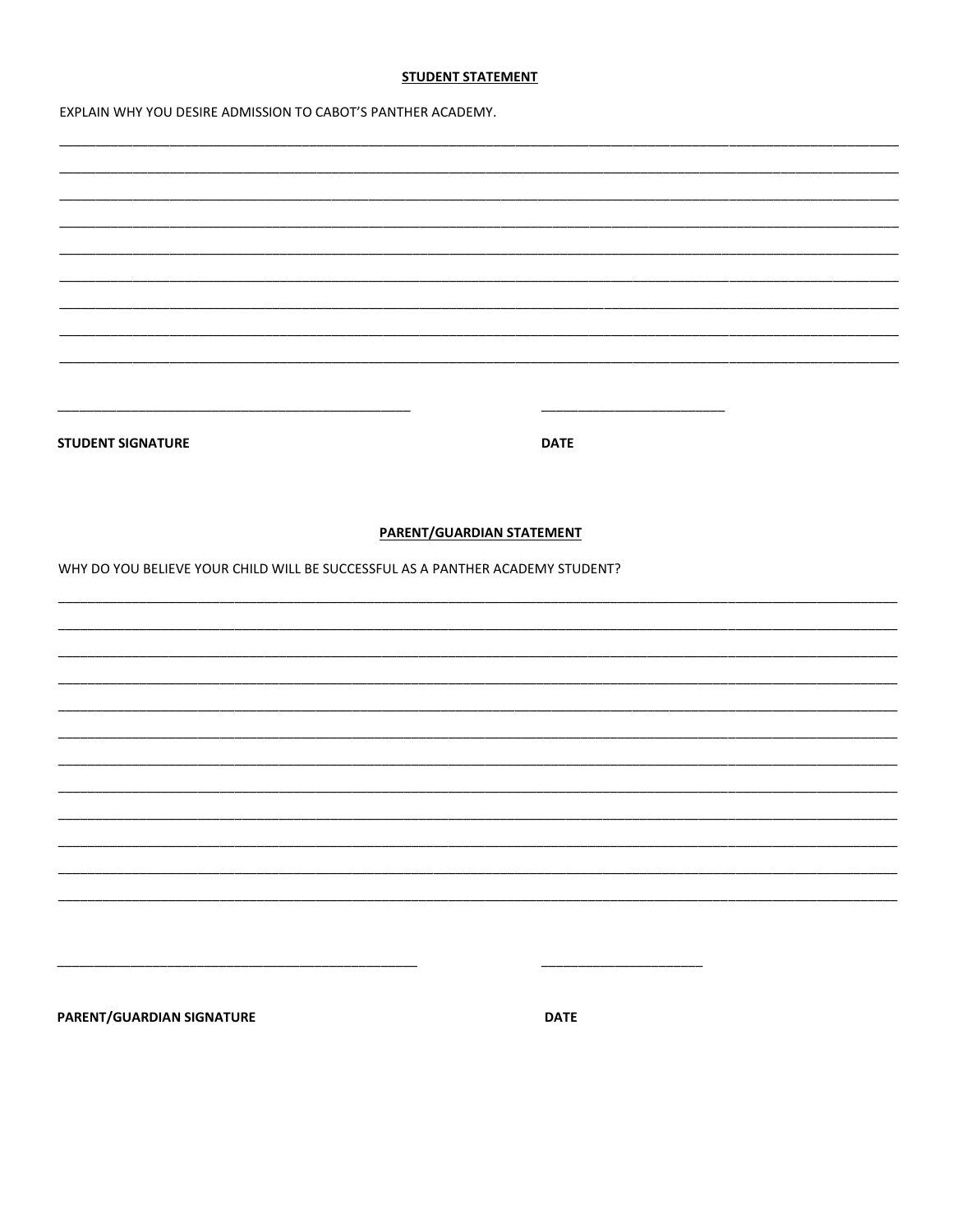## **STUDENT STATEMENT**

EXPLAIN WHY YOU DESIRE ADMISSION TO CABOT'S PANTHER ACADEMY.

| <b>STUDENT SIGNATURE</b>                                                       |                           |             |  |
|--------------------------------------------------------------------------------|---------------------------|-------------|--|
|                                                                                |                           | <b>DATE</b> |  |
|                                                                                |                           |             |  |
|                                                                                |                           |             |  |
|                                                                                |                           |             |  |
|                                                                                | PARENT/GUARDIAN STATEMENT |             |  |
| WHY DO YOU BELIEVE YOUR CHILD WILL BE SUCCESSFUL AS A PANTHER ACADEMY STUDENT? |                           |             |  |
|                                                                                |                           |             |  |
|                                                                                |                           |             |  |
|                                                                                |                           |             |  |
|                                                                                |                           |             |  |
|                                                                                |                           |             |  |
|                                                                                |                           |             |  |
|                                                                                |                           |             |  |
|                                                                                |                           |             |  |
|                                                                                |                           |             |  |
|                                                                                |                           |             |  |
|                                                                                |                           |             |  |
|                                                                                |                           |             |  |
|                                                                                |                           |             |  |
|                                                                                |                           |             |  |
|                                                                                |                           |             |  |
|                                                                                |                           |             |  |
|                                                                                |                           |             |  |
|                                                                                |                           |             |  |
|                                                                                |                           |             |  |
|                                                                                |                           |             |  |
| PARENT/GUARDIAN SIGNATURE                                                      |                           | <b>DATE</b> |  |
|                                                                                |                           |             |  |